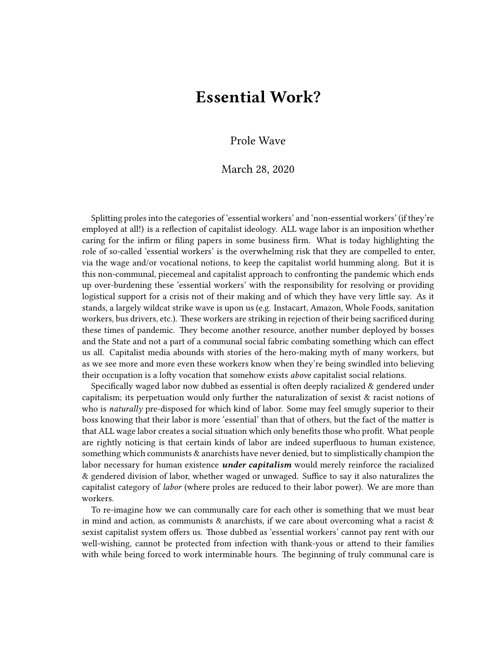## **Essential Work?**

## Prole Wave

## March 28, 2020

Splitting proles into the categories of 'essential workers' and 'non-essential workers' (if they're employed at all!) is a reflection of capitalist ideology. ALL wage labor is an imposition whether caring for the infirm or filing papers in some business firm. What is today highlighting the role of so-called 'essential workers' is the overwhelming risk that they are compelled to enter, via the wage and/or vocational notions, to keep the capitalist world humming along. But it is this non-communal, piecemeal and capitalist approach to confronting the pandemic which ends up over-burdening these 'essential workers' with the responsibility for resolving or providing logistical support for a crisis not of their making and of which they have very little say. As it stands, a largely wildcat strike wave is upon us (e.g. Instacart, Amazon, Whole Foods, sanitation workers, bus drivers, etc.). These workers are striking in rejection of their being sacrificed during these times of pandemic. They become another resource, another number deployed by bosses and the State and not a part of a communal social fabric combating something which can effect us all. Capitalist media abounds with stories of the hero-making myth of many workers, but as we see more and more even these workers know when they're being swindled into believing their occupation is a lofty vocation that somehow exists *above* capitalist social relations.

Specifically waged labor now dubbed as essential is often deeply racialized & gendered under capitalism; its perpetuation would only further the naturalization of sexist  $\&$  racist notions of who is *naturally* pre-disposed for which kind of labor. Some may feel smugly superior to their boss knowing that their labor is more 'essential' than that of others, but the fact of the matter is that ALL wage labor creates a social situation which only benefits those who profit. What people are rightly noticing is that certain kinds of labor are indeed superfluous to human existence, something which communists & anarchists have never denied, but to simplistically champion the labor necessary for human existence *under capitalism* would merely reinforce the racialized & gendered division of labor, whether waged or unwaged. Suffice to say it also naturalizes the capitalist category of *labor* (where proles are reduced to their labor power). We are more than workers.

To re-imagine how we can communally care for each other is something that we must bear in mind and action, as communists  $\&$  anarchists, if we care about overcoming what a racist  $\&$ sexist capitalist system offers us. Those dubbed as 'essential workers' cannot pay rent with our well-wishing, cannot be protected from infection with thank-yous or attend to their families with while being forced to work interminable hours. The beginning of truly communal care is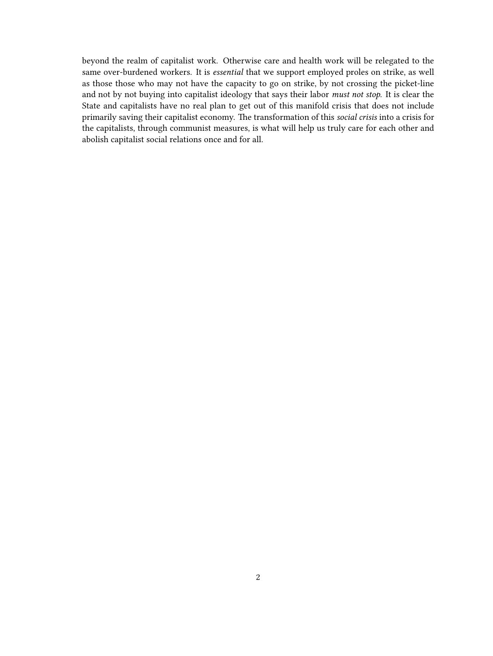beyond the realm of capitalist work. Otherwise care and health work will be relegated to the same over-burdened workers. It is *essential* that we support employed proles on strike, as well as those those who may not have the capacity to go on strike, by not crossing the picket-line and not by not buying into capitalist ideology that says their labor *must not stop*. It is clear the State and capitalists have no real plan to get out of this manifold crisis that does not include primarily saving their capitalist economy. The transformation of this *social crisis* into a crisis for the capitalists, through communist measures, is what will help us truly care for each other and abolish capitalist social relations once and for all.